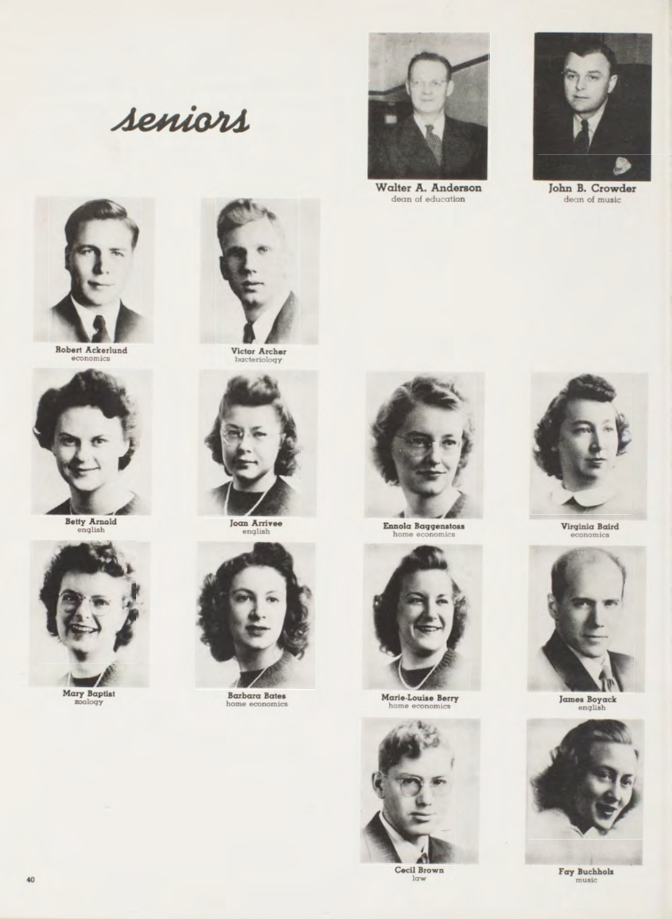seniors



Robert Ackerlund



Betty Arnold



Mary Baptist



Victor Archer



**Joan Arrivee** english



**Barbara Bates** home economics



Walter A. Anderson dean of education



John B. Crowder dean of music



Ennola Baggenstoss



Marie-Louise Berry



Cecil Brown  $law$ 



 $\rm Virgini\alpha$  Baird conomics



James Boyack



 $\begin{array}{c} \texttt{Fay \; Buchhols} \\ \texttt{music} \end{array}$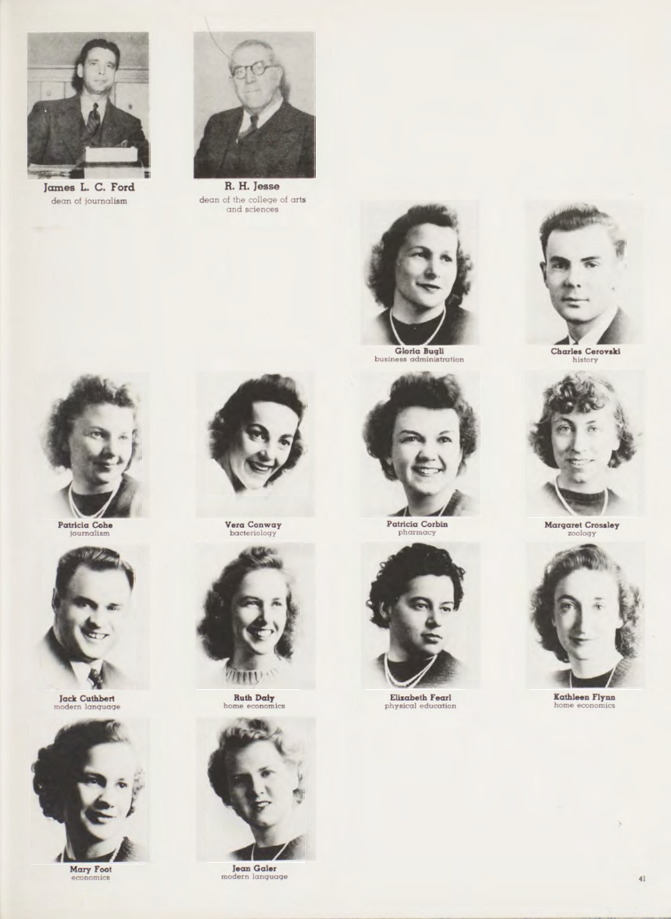

James L. C. Ford dean of journalism



R. H. Jesse  $\begin{minipage}{.4\linewidth} \textbf{dean of the college of arts} \\ \textbf{and sciences} \end{minipage}$ 



**Gloria Bugli**<br>business administration



Patricia Corbin



Elizabeth Fearl<br>physical education





Margaret Crossley



Kathleen Flynn home economics



Patricia Cohe<br>journalism



Jack Cuthbert



Mary Foot mics



Vera Conway



**Ruth Daly** 



Jean Galer modern language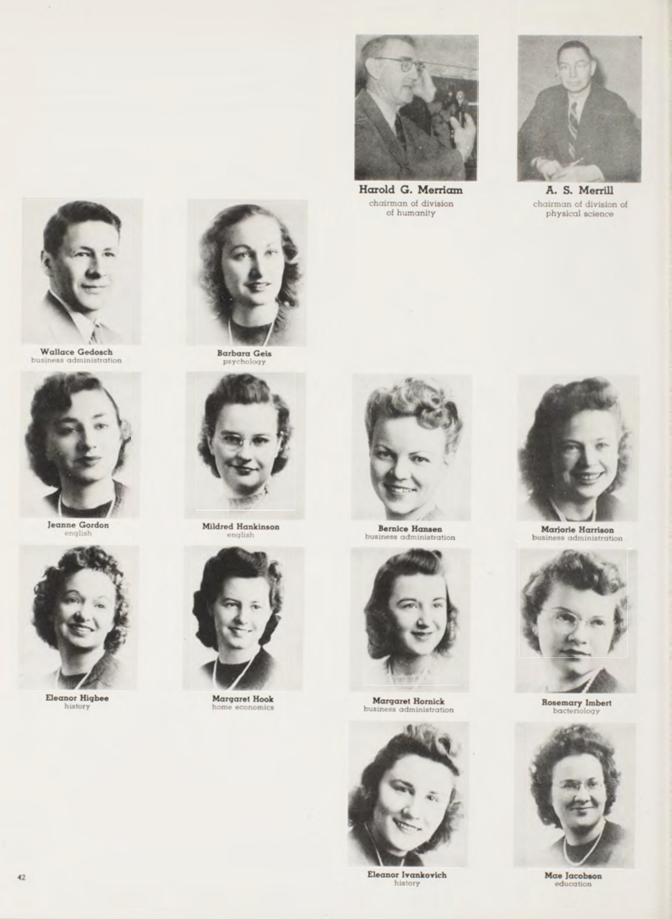

Wallace Gedosch business administration



Jeanne Gordon



Eleanor Higbee<br>history



Barbara Geis



Mildred Hankinson ylish



Margaret Hook ome economics



chairm an of division of hum anity



Harold G. Merriam A. S. Merrill chairm an of division of p hysical science



**Bernice Hansen**<br>business administration



Margaret Hornick<br>business administration ess administration



Eleanor Ivankovich history



Marjorie Harrison busi ness administr



Rosemary Imbert<br>bacteriology



Mae Jacobson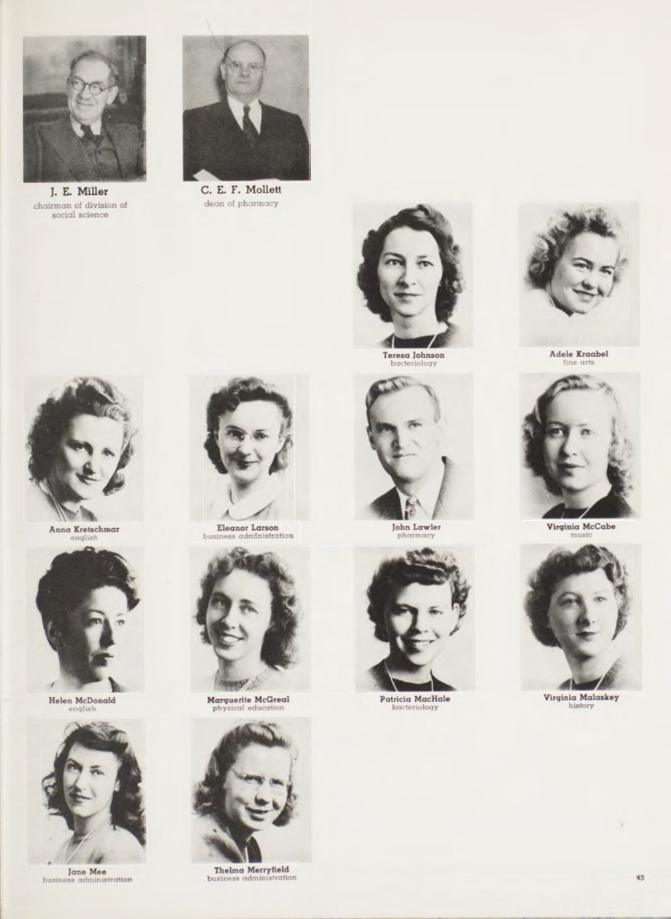

I. E. Miller chairman of division of<br>social science



C. E. F. Mollett de an of pharmacy



Teresa Johnson<br>bacteriology





Helen McDonald nglish



Jane Mee<br>business administration



Eleanor Larson<br>siness administration



**Marquerite McGreal**<br>physical education



Thelma Merryfield<br>business administration



John Lawler



Patricia MacHale



Adele Kraabel



Virginia McCabe



Virginia Malaskey<br>history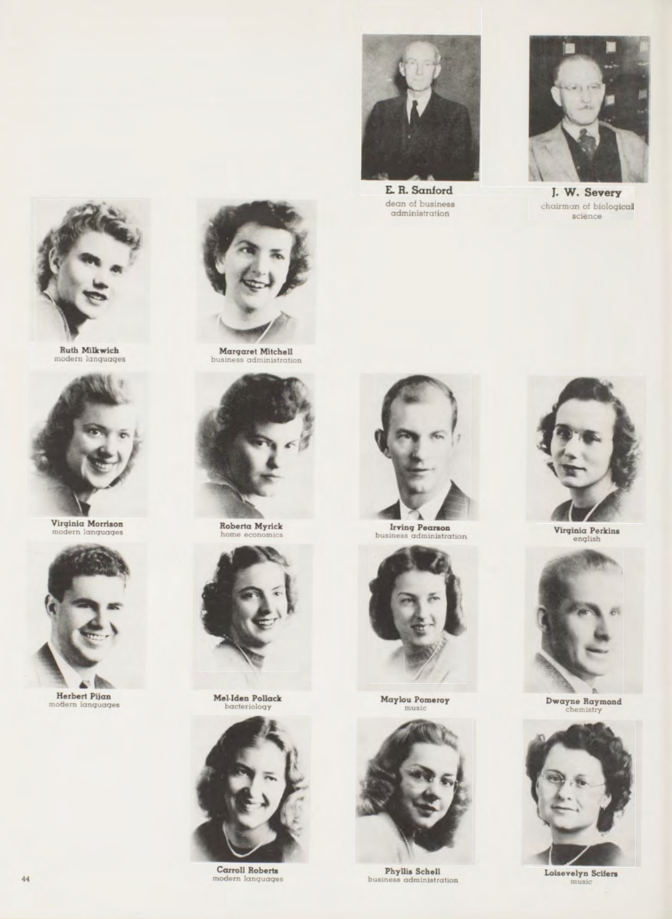

E. R. Sanford dean of business<br>administration



J. W. Severy chairman of biological science



Ruth Milkwich<br>modern languages



Virginia Morrison<br>modern languages



Herbert Pijan m ern languages



Margaret Mitchell<br>business administration



Roberta Myrick home economics



Mel-Iden Pollack bacteriology



Carroll Roberts modern languages



Irving Pearson<br>business administration



M aylou Pomeroy m usic



Phyllis Schell business administration



Virginia Perkins english



Dwayne Raymond<br>chemistry



Loisevelyn Scifers m usic